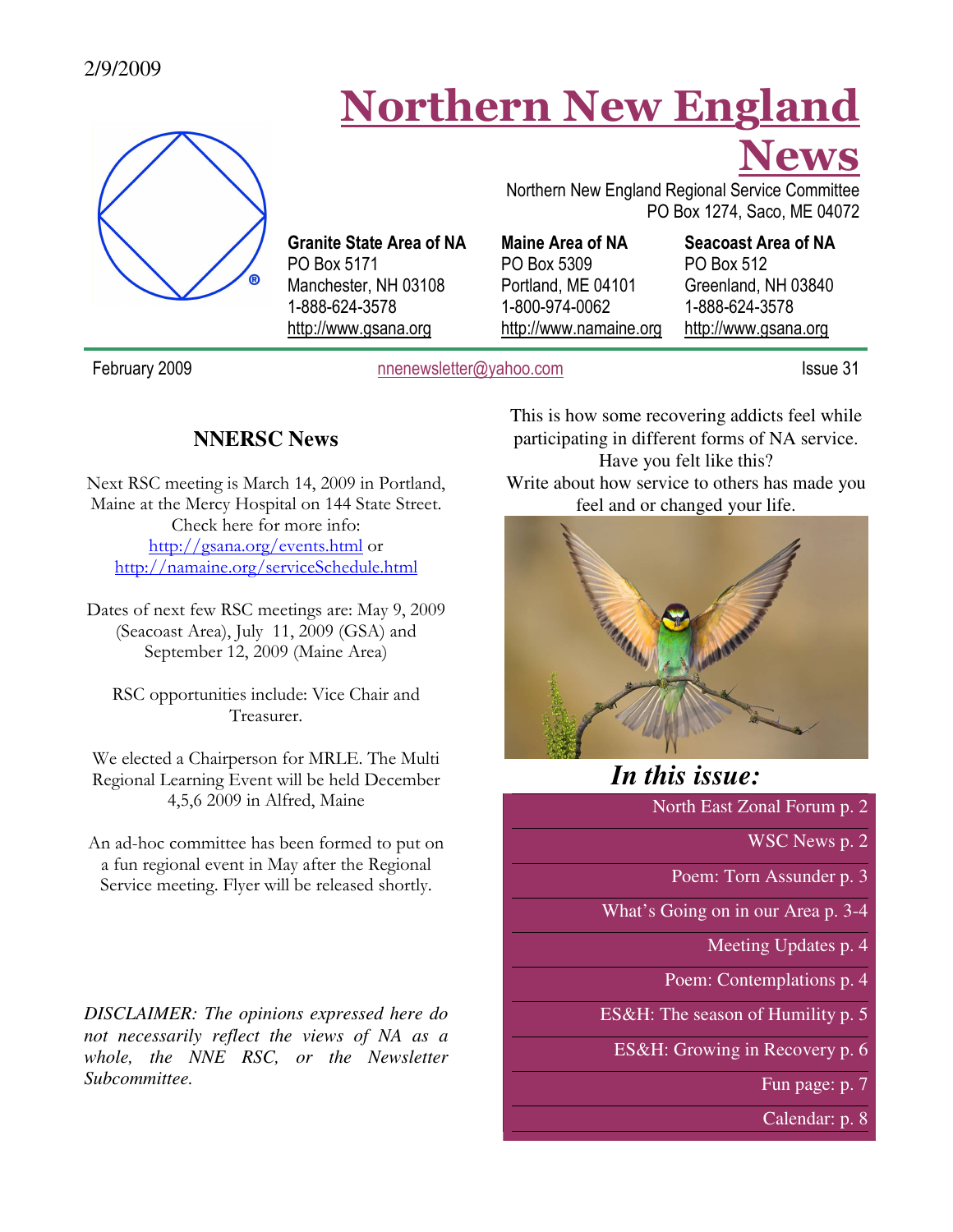### 2/9/2009

# Northern New England



Granite State Area of NA PO Box 5171 Manchester, NH 03108 1-888-624-3578 http://www.gsana.org

Northern New England Regional Service Committee PO Box 1274, Saco, ME 04072

Maine Area of NA PO Box 5309 Portland, ME 04101 1-800-974-0062 http://www.namaine.org

### Seacoast Area of NA

News

PO Box 512 Greenland, NH 03840 1-888-624-3578 http://www.gsana.org

February 2009 **nnenewsletter@yahoo.com** Issue 31

### **NNERSC News**

Next RSC meeting is March 14, 2009 in Portland, Maine at the Mercy Hospital on 144 State Street. Check here for more info: http://gsana.org/events.html or http://namaine.org/serviceSchedule.html

Dates of next few RSC meetings are: May 9, 2009 (Seacoast Area), July 11, 2009 (GSA) and September 12, 2009 (Maine Area)

RSC opportunities include: Vice Chair and Treasurer.

We elected a Chairperson for MRLE. The Multi Regional Learning Event will be held December 4,5,6 2009 in Alfred, Maine

An ad-hoc committee has been formed to put on a fun regional event in May after the Regional Service meeting. Flyer will be released shortly.

*DISCLAIMER: The opinions expressed here do not necessarily reflect the views of NA as a whole, the NNE RSC, or the Newsletter Subcommittee.* 

This is how some recovering addicts feel while participating in different forms of NA service. Have you felt like this? Write about how service to others has made you feel and or changed your life.



# *In this issue:*

North East Zonal Forum p. 2

WSC News p. 2

Poem: Torn Assunder p. 3

What's Going on in our Area p. 3-4

Meeting Updates p. 4

Poem: Contemplations p. 4

ES&H: The season of Humility p. 5

ES&H: Growing in Recovery p. 6

Fun page: p. 7

Calendar: p. 8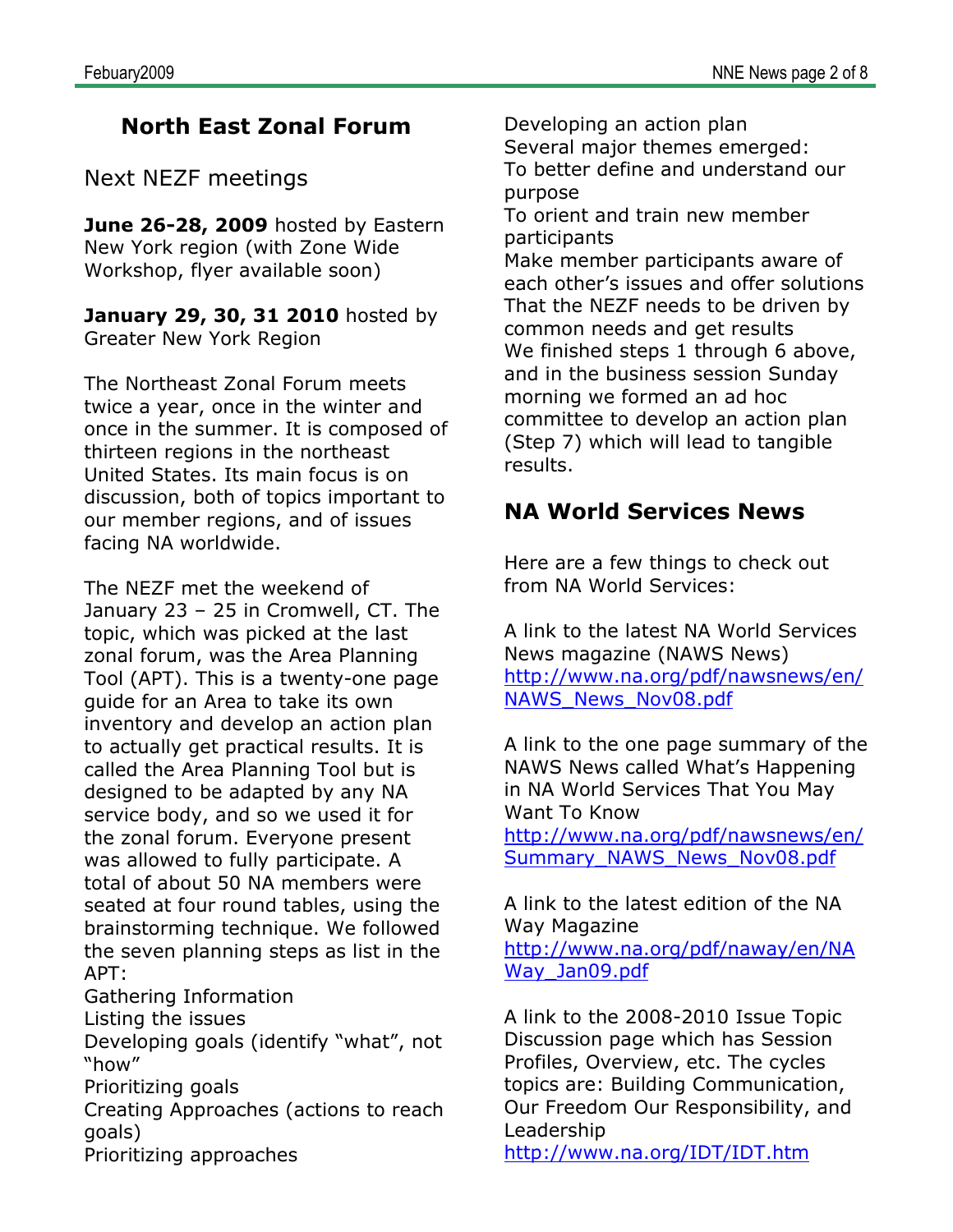# North East Zonal Forum

Next NEZF meetings

June 26-28, 2009 hosted by Eastern New York region (with Zone Wide Workshop, flyer available soon)

**January 29, 30, 31 2010** hosted by Greater New York Region

The Northeast Zonal Forum meets twice a year, once in the winter and once in the summer. It is composed of thirteen regions in the northeast United States. Its main focus is on discussion, both of topics important to our member regions, and of issues facing NA worldwide.

The NEZF met the weekend of January 23 – 25 in Cromwell, CT. The topic, which was picked at the last zonal forum, was the Area Planning Tool (APT). This is a twenty-one page guide for an Area to take its own inventory and develop an action plan to actually get practical results. It is called the Area Planning Tool but is designed to be adapted by any NA service body, and so we used it for the zonal forum. Everyone present was allowed to fully participate. A total of about 50 NA members were seated at four round tables, using the brainstorming technique. We followed the seven planning steps as list in the APT:

Gathering Information

Listing the issues

Developing goals (identify "what", not "how"

Prioritizing goals

Creating Approaches (actions to reach goals)

Prioritizing approaches

Developing an action plan Several major themes emerged: To better define and understand our purpose To orient and train new member participants Make member participants aware of each other's issues and offer solutions That the NEZF needs to be driven by common needs and get results We finished steps 1 through 6 above, and in the business session Sunday morning we formed an ad hoc committee to develop an action plan (Step 7) which will lead to tangible results.

# NA World Services News

Here are a few things to check out from NA World Services:

A link to the latest NA World Services News magazine (NAWS News) http://www.na.org/pdf/nawsnews/en/ NAWS\_News\_Nov08.pdf

A link to the one page summary of the NAWS News called What's Happening in NA World Services That You May Want To Know

http://www.na.org/pdf/nawsnews/en/ Summary\_NAWS\_News\_Nov08.pdf

A link to the latest edition of the NA Way Magazine http://www.na.org/pdf/naway/en/NA Way Jan09.pdf

A link to the 2008-2010 Issue Topic Discussion page which has Session Profiles, Overview, etc. The cycles topics are: Building Communication, Our Freedom Our Responsibility, and Leadership http://www.na.org/IDT/IDT.htm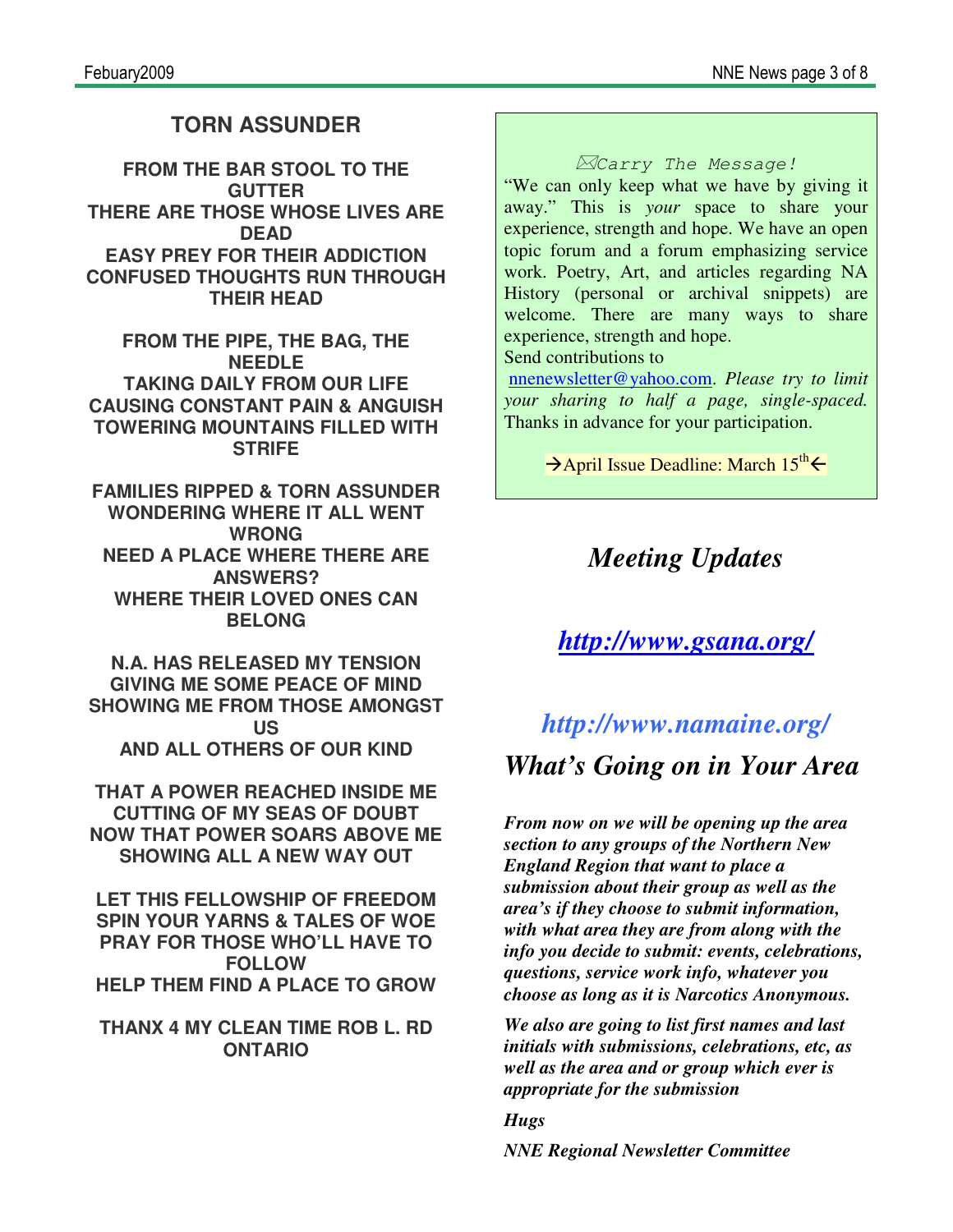## **TORN ASSUNDER**

**FROM THE BAR STOOL TO THE GUTTER THERE ARE THOSE WHOSE LIVES ARE DEAD EASY PREY FOR THEIR ADDICTION CONFUSED THOUGHTS RUN THROUGH THEIR HEAD**

**FROM THE PIPE, THE BAG, THE NEEDLE TAKING DAILY FROM OUR LIFE CAUSING CONSTANT PAIN & ANGUISH TOWERING MOUNTAINS FILLED WITH STRIFE**

**FAMILIES RIPPED & TORN ASSUNDER WONDERING WHERE IT ALL WENT WRONG NEED A PLACE WHERE THERE ARE ANSWERS? WHERE THEIR LOVED ONES CAN BELONG**

**N.A. HAS RELEASED MY TENSION GIVING ME SOME PEACE OF MIND SHOWING ME FROM THOSE AMONGST US AND ALL OTHERS OF OUR KIND**

**THAT A POWER REACHED INSIDE ME CUTTING OF MY SEAS OF DOUBT NOW THAT POWER SOARS ABOVE ME SHOWING ALL A NEW WAY OUT**

**LET THIS FELLOWSHIP OF FREEDOM SPIN YOUR YARNS & TALES OF WOE PRAY FOR THOSE WHO'LL HAVE TO FOLLOW HELP THEM FIND A PLACE TO GROW**

**THANX 4 MY CLEAN TIME ROB L. RD ONTARIO**

-Carry The Message!

"We can only keep what we have by giving it away." This is *your* space to share your experience, strength and hope. We have an open topic forum and a forum emphasizing service work. Poetry, Art, and articles regarding NA History (personal or archival snippets) are welcome. There are many ways to share experience, strength and hope.

Send contributions to

nnenewsletter@yahoo.com. *Please try to limit your sharing to half a page, single-spaced.* Thanks in advance for your participation.

 $\rightarrow$  April Issue Deadline: March 15<sup>th</sup>  $\leftarrow$ 

# *Meeting Updates*

# *http://www.gsana.org/*

# *http://www.namaine.org/ What's Going on in Your Area*

*From now on we will be opening up the area section to any groups of the Northern New England Region that want to place a submission about their group as well as the area's if they choose to submit information, with what area they are from along with the info you decide to submit: events, celebrations, questions, service work info, whatever you choose as long as it is Narcotics Anonymous.* 

*We also are going to list first names and last initials with submissions, celebrations, etc, as well as the area and or group which ever is appropriate for the submission* 

*Hugs NNE Regional Newsletter Committee*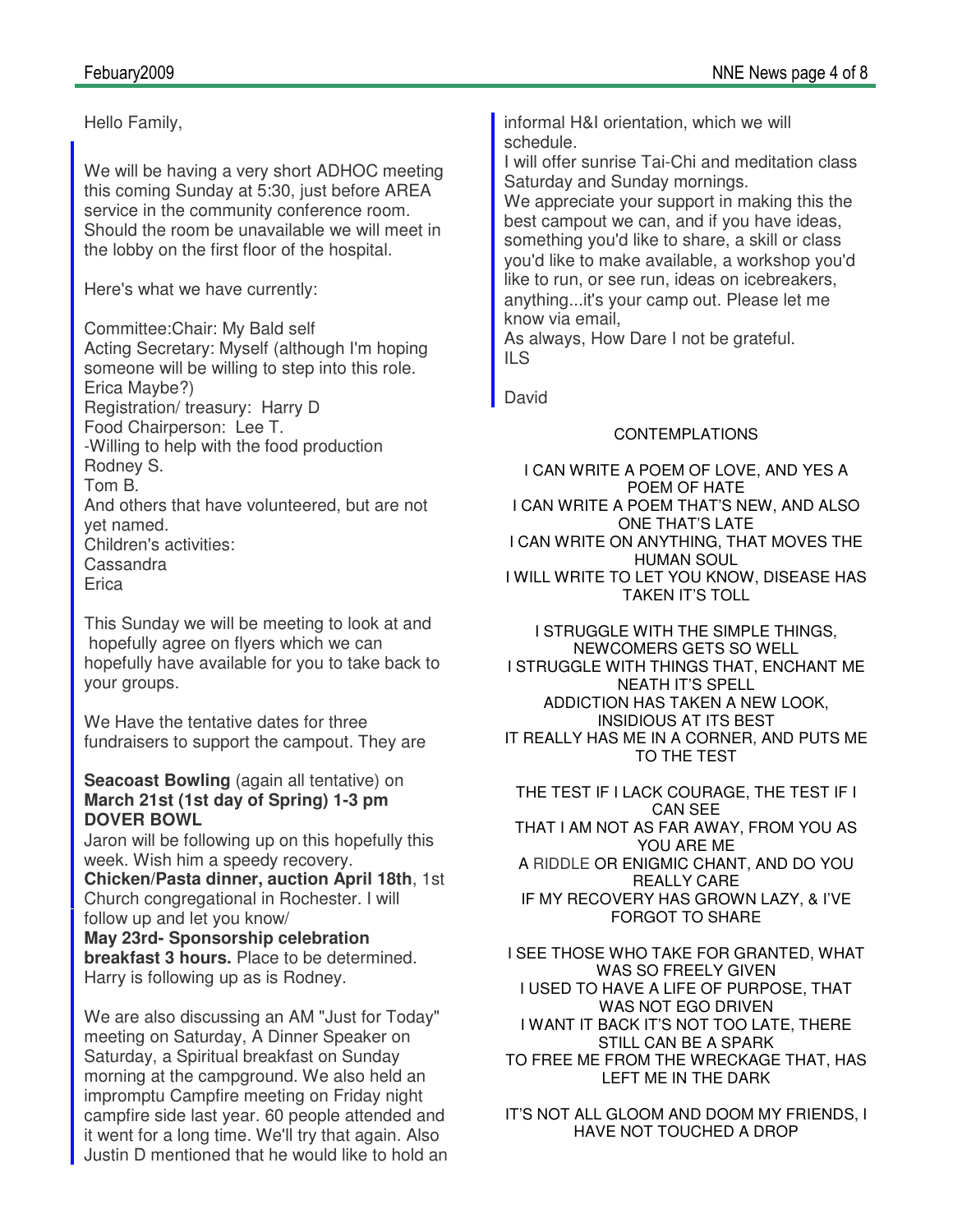Hello Family,

We will be having a very short ADHOC meeting this coming Sunday at 5:30, just before AREA service in the community conference room. Should the room be unavailable we will meet in the lobby on the first floor of the hospital.

Here's what we have currently:

Committee:Chair: My Bald self Acting Secretary: Myself (although I'm hoping someone will be willing to step into this role. Erica Maybe?) Registration/ treasury: Harry D Food Chairperson: Lee T. -Willing to help with the food production Rodney S. Tom B. And others that have volunteered, but are not yet named. Children's activities: Cassandra **Erica** 

This Sunday we will be meeting to look at and hopefully agree on flyers which we can hopefully have available for you to take back to your groups.

We Have the tentative dates for three fundraisers to support the campout. They are

### **Seacoast Bowling** (again all tentative) on **March 21st (1st day of Spring) 1-3 pm DOVER BOWL**

Jaron will be following up on this hopefully this week. Wish him a speedy recovery.

**Chicken/Pasta dinner, auction April 18th**, 1st Church congregational in Rochester. I will follow up and let you know/ **May 23rd- Sponsorship celebration** 

**breakfast 3 hours.** Place to be determined. Harry is following up as is Rodney.

We are also discussing an AM "Just for Today" meeting on Saturday, A Dinner Speaker on Saturday, a Spiritual breakfast on Sunday morning at the campground. We also held an impromptu Campfire meeting on Friday night campfire side last year. 60 people attended and it went for a long time. We'll try that again. Also Justin D mentioned that he would like to hold an informal H&I orientation, which we will schedule.

I will offer sunrise Tai-Chi and meditation class Saturday and Sunday mornings.

We appreciate your support in making this the best campout we can, and if you have ideas, something you'd like to share, a skill or class you'd like to make available, a workshop you'd like to run, or see run, ideas on icebreakers, anything...it's your camp out. Please let me know via email,

As always, How Dare I not be grateful. ILS

David

### CONTEMPLATIONS

I CAN WRITE A POEM OF LOVE, AND YES A POEM OF HATE I CAN WRITE A POEM THAT'S NEW, AND ALSO ONE THAT'S LATE I CAN WRITE ON ANYTHING, THAT MOVES THE HUMAN SOUL I WILL WRITE TO LET YOU KNOW, DISEASE HAS TAKEN IT'S TOLL

I STRUGGLE WITH THE SIMPLE THINGS, NEWCOMERS GETS SO WELL I STRUGGLE WITH THINGS THAT, ENCHANT ME NEATH IT'S SPELL ADDICTION HAS TAKEN A NEW LOOK, INSIDIOUS AT ITS BEST IT REALLY HAS ME IN A CORNER, AND PUTS ME TO THE TEST

THE TEST IF I LACK COURAGE, THE TEST IF I CAN SEE THAT I AM NOT AS FAR AWAY, FROM YOU AS YOU ARE ME A RIDDLE OR ENIGMIC CHANT, AND DO YOU REALLY CARE IF MY RECOVERY HAS GROWN LAZY, & I'VE FORGOT TO SHARE

I SEE THOSE WHO TAKE FOR GRANTED, WHAT WAS SO FREELY GIVEN I USED TO HAVE A LIFE OF PURPOSE, THAT WAS NOT EGO DRIVEN I WANT IT BACK IT'S NOT TOO LATE, THERE STILL CAN BE A SPARK TO FREE ME FROM THE WRECKAGE THAT, HAS LEFT ME IN THE DARK

IT'S NOT ALL GLOOM AND DOOM MY FRIENDS, I HAVE NOT TOUCHED A DROP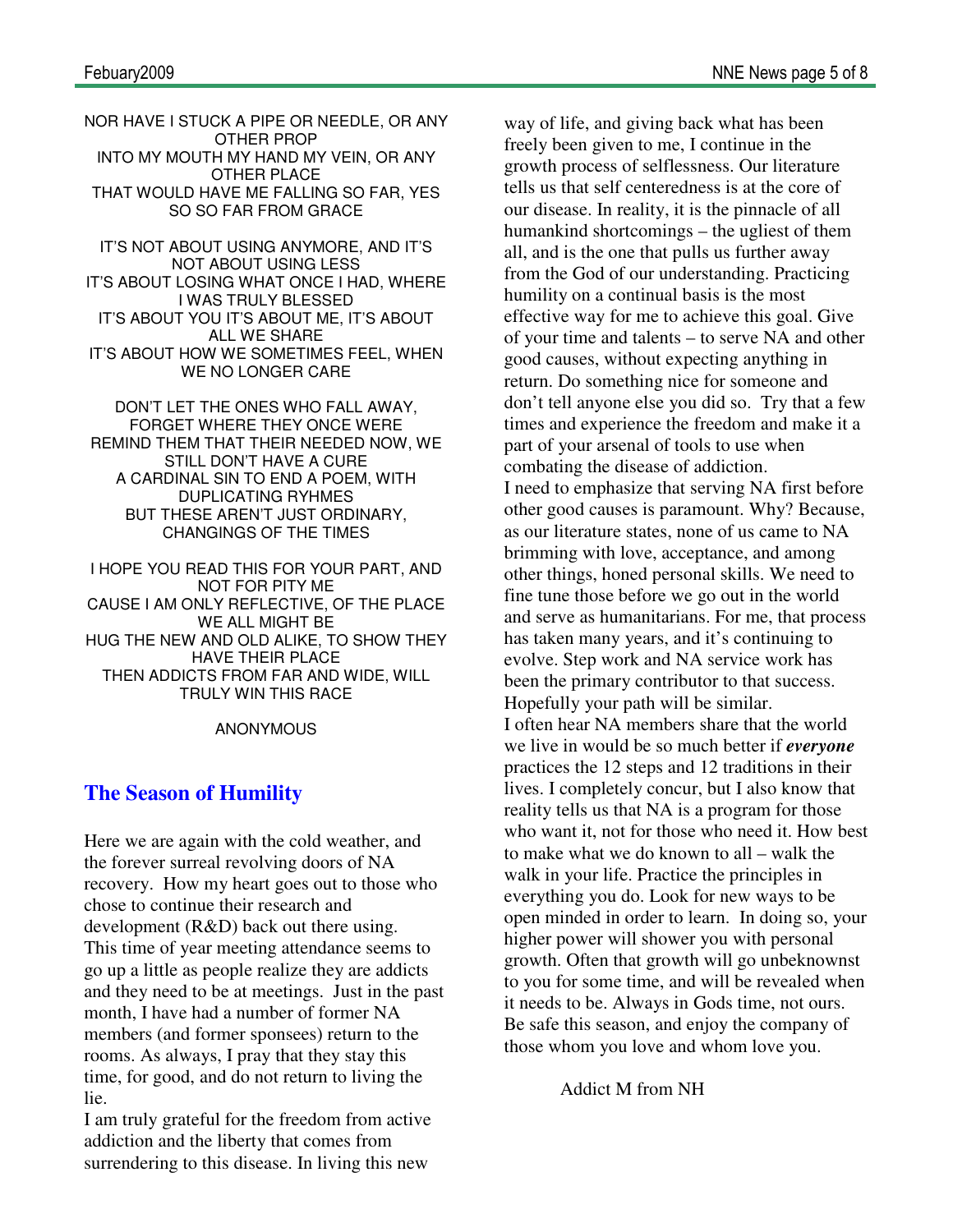NOR HAVE I STUCK A PIPE OR NEEDLE, OR ANY OTHER PROP INTO MY MOUTH MY HAND MY VEIN, OR ANY OTHER PLACE THAT WOULD HAVE ME FALLING SO FAR, YES SO SO FAR FROM GRACE

IT'S NOT ABOUT USING ANYMORE, AND IT'S NOT ABOUT USING LESS IT'S ABOUT LOSING WHAT ONCE I HAD, WHERE I WAS TRULY BLESSED IT'S ABOUT YOU IT'S ABOUT ME, IT'S ABOUT ALL WE SHARE IT'S ABOUT HOW WE SOMETIMES FEEL, WHEN WE NO LONGER CARE

DON'T LET THE ONES WHO FALL AWAY, FORGET WHERE THEY ONCE WERE REMIND THEM THAT THEIR NEEDED NOW, WE STILL DON'T HAVE A CURE A CARDINAL SIN TO END A POEM, WITH DUPLICATING RYHMES BUT THESE AREN'T JUST ORDINARY, CHANGINGS OF THE TIMES

I HOPE YOU READ THIS FOR YOUR PART, AND NOT FOR PITY ME CAUSE I AM ONLY REFLECTIVE, OF THE PLACE WE ALL MIGHT BE HUG THE NEW AND OLD ALIKE, TO SHOW THEY HAVE THEIR PLACE THEN ADDICTS FROM FAR AND WIDE, WILL TRULY WIN THIS RACE

#### ANONYMOUS

### **The Season of Humility**

Here we are again with the cold weather, and the forever surreal revolving doors of NA recovery. How my heart goes out to those who chose to continue their research and development (R&D) back out there using. This time of year meeting attendance seems to go up a little as people realize they are addicts and they need to be at meetings. Just in the past month, I have had a number of former NA members (and former sponsees) return to the rooms. As always, I pray that they stay this time, for good, and do not return to living the lie.

I am truly grateful for the freedom from active addiction and the liberty that comes from surrendering to this disease. In living this new

way of life, and giving back what has been freely been given to me, I continue in the growth process of selflessness. Our literature tells us that self centeredness is at the core of our disease. In reality, it is the pinnacle of all humankind shortcomings – the ugliest of them all, and is the one that pulls us further away from the God of our understanding. Practicing humility on a continual basis is the most effective way for me to achieve this goal. Give of your time and talents – to serve NA and other good causes, without expecting anything in return. Do something nice for someone and don't tell anyone else you did so. Try that a few times and experience the freedom and make it a part of your arsenal of tools to use when combating the disease of addiction. I need to emphasize that serving NA first before other good causes is paramount. Why? Because, as our literature states, none of us came to NA brimming with love, acceptance, and among other things, honed personal skills. We need to fine tune those before we go out in the world and serve as humanitarians. For me, that process has taken many years, and it's continuing to evolve. Step work and NA service work has been the primary contributor to that success. Hopefully your path will be similar. I often hear NA members share that the world we live in would be so much better if *everyone* practices the 12 steps and 12 traditions in their lives. I completely concur, but I also know that reality tells us that NA is a program for those who want it, not for those who need it. How best to make what we do known to all – walk the walk in your life. Practice the principles in everything you do. Look for new ways to be open minded in order to learn. In doing so, your higher power will shower you with personal growth. Often that growth will go unbeknownst to you for some time, and will be revealed when it needs to be. Always in Gods time, not ours. Be safe this season, and enjoy the company of those whom you love and whom love you.

Addict M from NH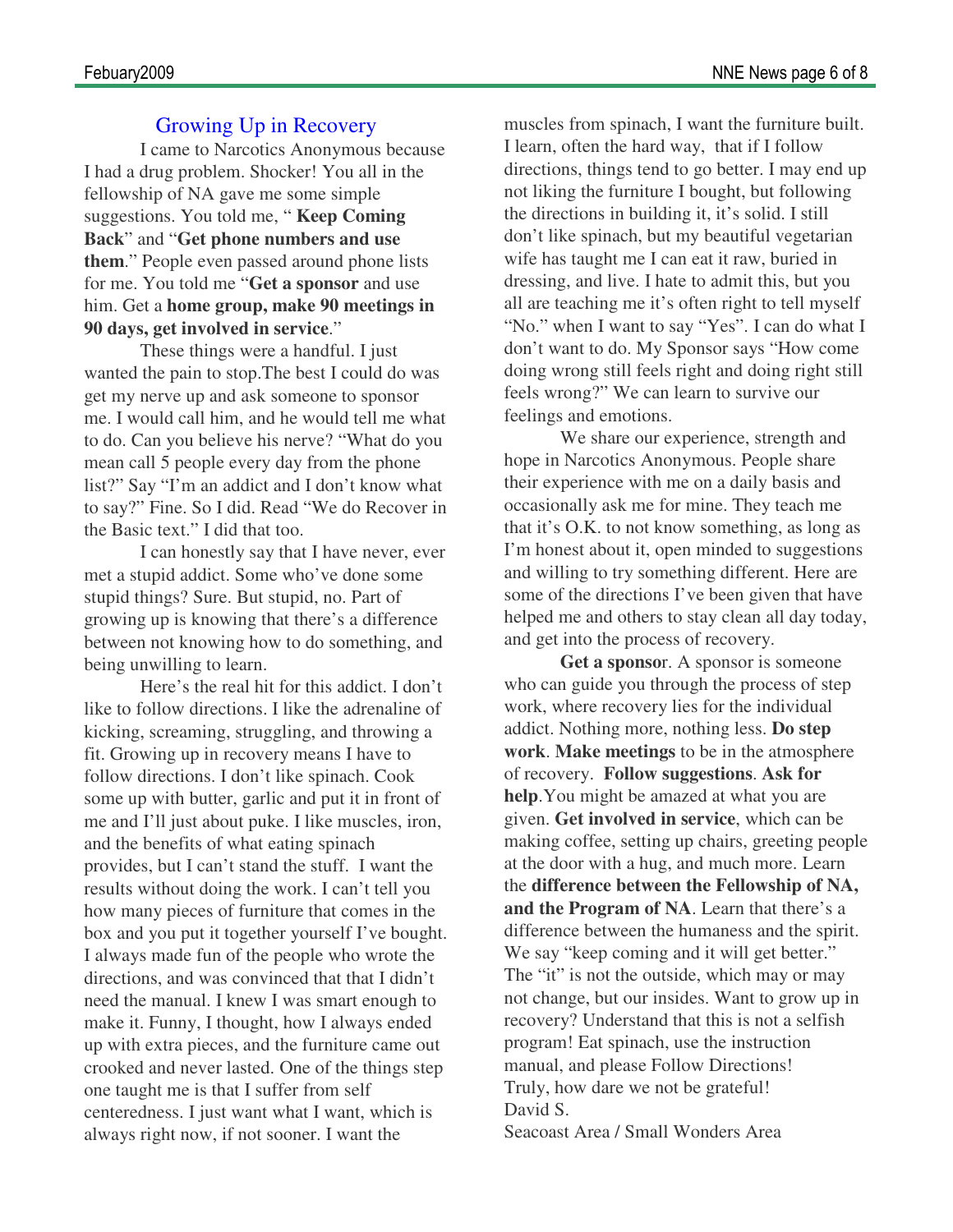### Growing Up in Recovery

I came to Narcotics Anonymous because I had a drug problem. Shocker! You all in the fellowship of NA gave me some simple suggestions. You told me, " **Keep Coming Back**" and "**Get phone numbers and use them**." People even passed around phone lists for me. You told me "**Get a sponsor** and use him. Get a **home group, make 90 meetings in 90 days, get involved in service**."

 These things were a handful. I just wanted the pain to stop.The best I could do was get my nerve up and ask someone to sponsor me. I would call him, and he would tell me what to do. Can you believe his nerve? "What do you mean call 5 people every day from the phone list?" Say "I'm an addict and I don't know what to say?" Fine. So I did. Read "We do Recover in the Basic text." I did that too.

 I can honestly say that I have never, ever met a stupid addict. Some who've done some stupid things? Sure. But stupid, no. Part of growing up is knowing that there's a difference between not knowing how to do something, and being unwilling to learn.

 Here's the real hit for this addict. I don't like to follow directions. I like the adrenaline of kicking, screaming, struggling, and throwing a fit. Growing up in recovery means I have to follow directions. I don't like spinach. Cook some up with butter, garlic and put it in front of me and I'll just about puke. I like muscles, iron, and the benefits of what eating spinach provides, but I can't stand the stuff. I want the results without doing the work. I can't tell you how many pieces of furniture that comes in the box and you put it together yourself I've bought. I always made fun of the people who wrote the directions, and was convinced that that I didn't need the manual. I knew I was smart enough to make it. Funny, I thought, how I always ended up with extra pieces, and the furniture came out crooked and never lasted. One of the things step one taught me is that I suffer from self centeredness. I just want what I want, which is always right now, if not sooner. I want the

muscles from spinach, I want the furniture built. I learn, often the hard way, that if I follow directions, things tend to go better. I may end up not liking the furniture I bought, but following the directions in building it, it's solid. I still don't like spinach, but my beautiful vegetarian wife has taught me I can eat it raw, buried in dressing, and live. I hate to admit this, but you all are teaching me it's often right to tell myself "No." when I want to say "Yes". I can do what I don't want to do. My Sponsor says "How come doing wrong still feels right and doing right still feels wrong?" We can learn to survive our feelings and emotions.

 We share our experience, strength and hope in Narcotics Anonymous. People share their experience with me on a daily basis and occasionally ask me for mine. They teach me that it's O.K. to not know something, as long as I'm honest about it, open minded to suggestions and willing to try something different. Here are some of the directions I've been given that have helped me and others to stay clean all day today, and get into the process of recovery.

**Get a sponso**r. A sponsor is someone who can guide you through the process of step work, where recovery lies for the individual addict. Nothing more, nothing less. **Do step work**. **Make meetings** to be in the atmosphere of recovery. **Follow suggestions**. **Ask for help**.You might be amazed at what you are given. **Get involved in service**, which can be making coffee, setting up chairs, greeting people at the door with a hug, and much more. Learn the **difference between the Fellowship of NA, and the Program of NA**. Learn that there's a difference between the humaness and the spirit. We say "keep coming and it will get better." The "it" is not the outside, which may or may not change, but our insides. Want to grow up in recovery? Understand that this is not a selfish program! Eat spinach, use the instruction manual, and please Follow Directions! Truly, how dare we not be grateful! David S.

Seacoast Area / Small Wonders Area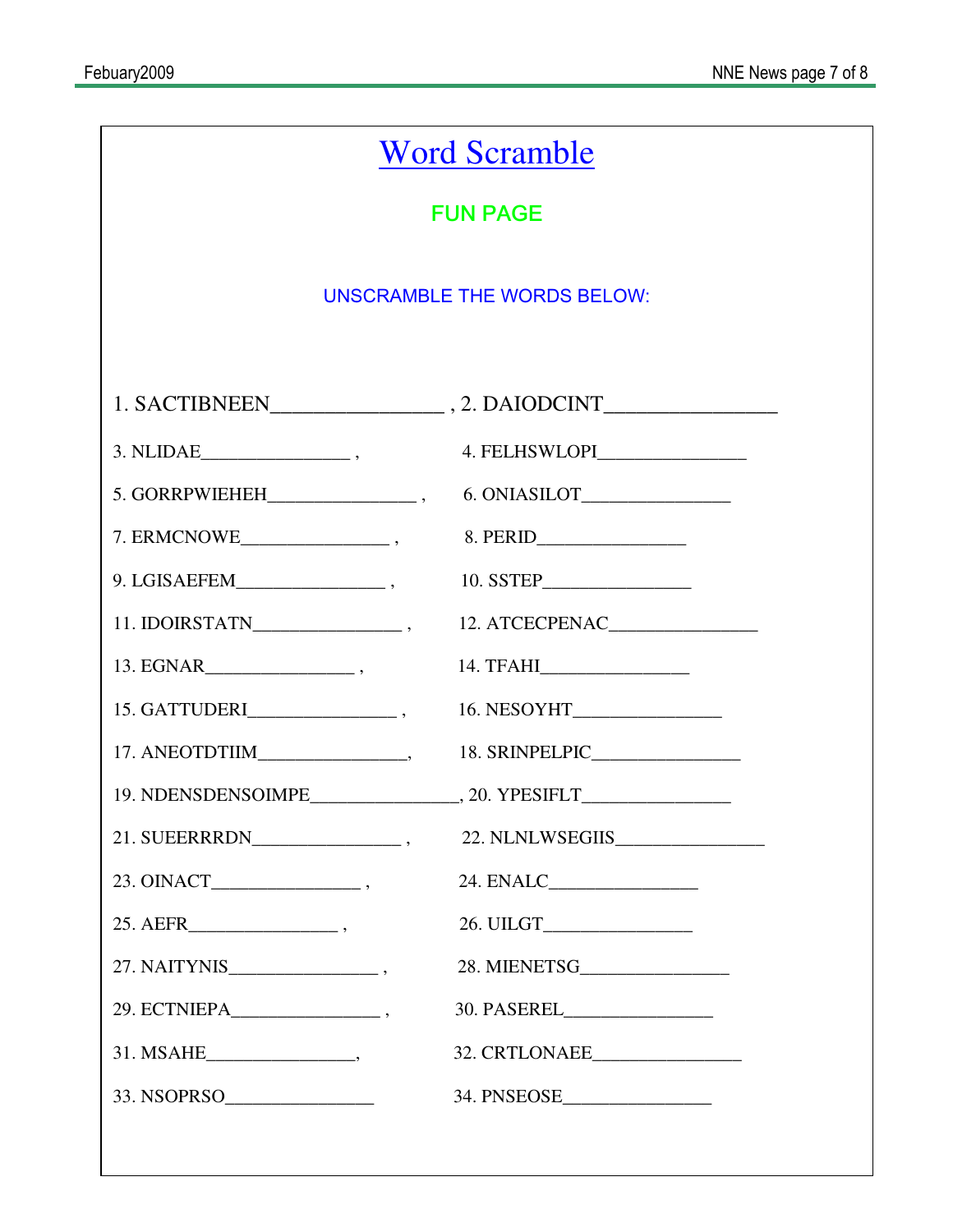| <b>Word Scramble</b>                                                                                                                                                                                                                                                                                                                                                                                                                                             |                |  |  |  |  |
|------------------------------------------------------------------------------------------------------------------------------------------------------------------------------------------------------------------------------------------------------------------------------------------------------------------------------------------------------------------------------------------------------------------------------------------------------------------|----------------|--|--|--|--|
| <b>FUN PAGE</b>                                                                                                                                                                                                                                                                                                                                                                                                                                                  |                |  |  |  |  |
| <b>UNSCRAMBLE THE WORDS BELOW:</b>                                                                                                                                                                                                                                                                                                                                                                                                                               |                |  |  |  |  |
|                                                                                                                                                                                                                                                                                                                                                                                                                                                                  |                |  |  |  |  |
|                                                                                                                                                                                                                                                                                                                                                                                                                                                                  |                |  |  |  |  |
| $3. NLIDAE$ <sub>________________________</sub> ,                                                                                                                                                                                                                                                                                                                                                                                                                | 4. FELHSWLOPI  |  |  |  |  |
|                                                                                                                                                                                                                                                                                                                                                                                                                                                                  |                |  |  |  |  |
|                                                                                                                                                                                                                                                                                                                                                                                                                                                                  |                |  |  |  |  |
|                                                                                                                                                                                                                                                                                                                                                                                                                                                                  |                |  |  |  |  |
|                                                                                                                                                                                                                                                                                                                                                                                                                                                                  | 12. ATCECPENAC |  |  |  |  |
| $13. EGNAR \begin{tabular}{ll} \multicolumn{2}{c} {\textbf{13.}} & \multicolumn{2}{c} {\textbf{13.}} & \multicolumn{2}{c} {\textbf{13.}} \\ \multicolumn{2}{c} {\textbf{13.}} & \multicolumn{2}{c} {\textbf{13.}} & \multicolumn{2}{c} {\textbf{13.}} \\ \multicolumn{2}{c} {\textbf{13.}} & \multicolumn{2}{c} {\textbf{13.}} & \multicolumn{2}{c} {\textbf{13.}} \\ \multicolumn{2}{c} {\textbf{13.}} & \multicolumn{2}{c} {\textbf{13.}} & \multicolumn{2}{c$ |                |  |  |  |  |
|                                                                                                                                                                                                                                                                                                                                                                                                                                                                  |                |  |  |  |  |
|                                                                                                                                                                                                                                                                                                                                                                                                                                                                  |                |  |  |  |  |
|                                                                                                                                                                                                                                                                                                                                                                                                                                                                  |                |  |  |  |  |
|                                                                                                                                                                                                                                                                                                                                                                                                                                                                  |                |  |  |  |  |
|                                                                                                                                                                                                                                                                                                                                                                                                                                                                  |                |  |  |  |  |
|                                                                                                                                                                                                                                                                                                                                                                                                                                                                  |                |  |  |  |  |
|                                                                                                                                                                                                                                                                                                                                                                                                                                                                  |                |  |  |  |  |
|                                                                                                                                                                                                                                                                                                                                                                                                                                                                  |                |  |  |  |  |
|                                                                                                                                                                                                                                                                                                                                                                                                                                                                  |                |  |  |  |  |
| 33. NSOPRSO                                                                                                                                                                                                                                                                                                                                                                                                                                                      |                |  |  |  |  |
|                                                                                                                                                                                                                                                                                                                                                                                                                                                                  |                |  |  |  |  |